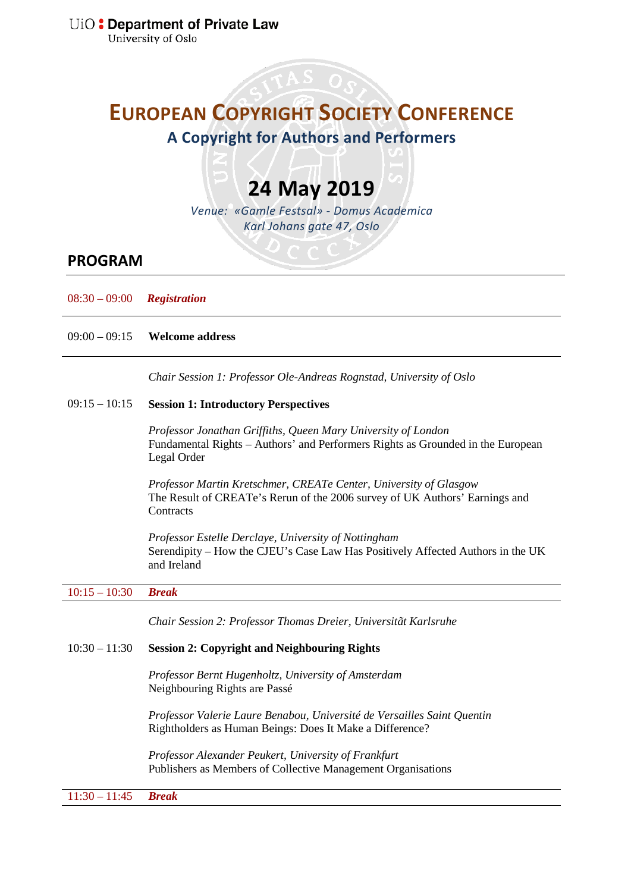University of Oslo

# **EUROPEAN COPYRIGHT SOCIETY CONFERENCE**

**A Copyright for Authors and Performers**

# **24 May 2019**

*Venue: «Gamle Festsal» - Domus Academica Karl Johans gate 47, Oslo*

# **PROGRAM**

08:30 – 09:00 *Registration*

09:00 – 09:15 **Welcome address**

*Chair Session 1: Professor Ole-Andreas Rognstad, University of Oslo*

#### $09:15 - 10:15$ **Session 1: Introductory Perspectives**

*Professor Jonathan Griffiths, Queen Mary University of London* Fundamental Rights – Authors' and Performers Rights as Grounded in the European Legal Order

*Professor Martin Kretschmer, CREATe Center, University of Glasgow* The Result of CREATe's Rerun of the 2006 survey of UK Authors' Earnings and **Contracts** 

*Professor Estelle Derclaye, University of Nottingham* Serendipity – How the CJEU's Case Law Has Positively Affected Authors in the UK and Ireland

10:15 – 10:30 *Break*

*Chair Session 2: Professor Thomas Dreier, Universitãt Karlsruhe*

#### $10:30 - 11:30$ **Session 2: Copyright and Neighbouring Rights**

*Professor Bernt Hugenholtz, University of Amsterdam* Neighbouring Rights are Passé

*Professor Valerie Laure Benabou, Université de Versailles Saint Quentin* Rightholders as Human Beings: Does It Make a Difference?

*Professor Alexander Peukert, University of Frankfurt* Publishers as Members of Collective Management Organisations

11:30 – 11:45 *Break*